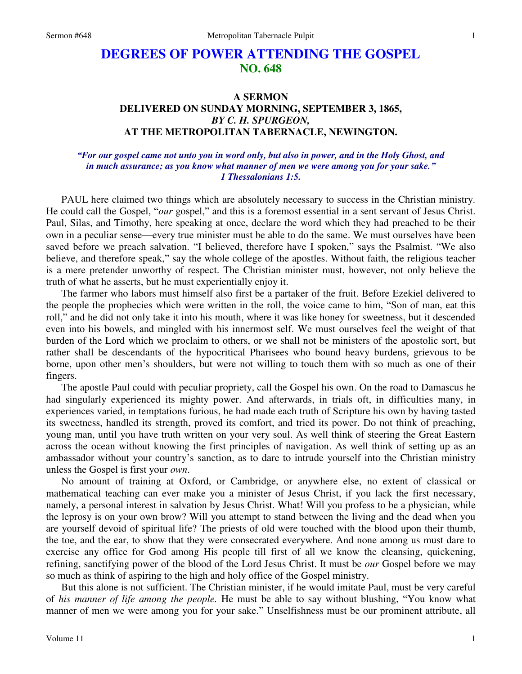## **DEGREES OF POWER ATTENDING THE GOSPEL NO. 648**

## **A SERMON DELIVERED ON SUNDAY MORNING, SEPTEMBER 3, 1865,**  *BY C. H. SPURGEON,*  **AT THE METROPOLITAN TABERNACLE, NEWINGTON.**

## *"For our gospel came not unto you in word only, but also in power, and in the Holy Ghost, and in much assurance; as you know what manner of men we were among you for your sake." 1 Thessalonians 1:5.*

PAUL here claimed two things which are absolutely necessary to success in the Christian ministry. He could call the Gospel, "*our* gospel," and this is a foremost essential in a sent servant of Jesus Christ. Paul, Silas, and Timothy, here speaking at once, declare the word which they had preached to be their own in a peculiar sense—every true minister must be able to do the same. We must ourselves have been saved before we preach salvation. "I believed, therefore have I spoken," says the Psalmist. "We also believe, and therefore speak," say the whole college of the apostles. Without faith, the religious teacher is a mere pretender unworthy of respect. The Christian minister must, however, not only believe the truth of what he asserts, but he must experientially enjoy it.

 The farmer who labors must himself also first be a partaker of the fruit. Before Ezekiel delivered to the people the prophecies which were written in the roll, the voice came to him, "Son of man, eat this roll," and he did not only take it into his mouth, where it was like honey for sweetness, but it descended even into his bowels, and mingled with his innermost self. We must ourselves feel the weight of that burden of the Lord which we proclaim to others, or we shall not be ministers of the apostolic sort, but rather shall be descendants of the hypocritical Pharisees who bound heavy burdens, grievous to be borne, upon other men's shoulders, but were not willing to touch them with so much as one of their fingers.

 The apostle Paul could with peculiar propriety, call the Gospel his own. On the road to Damascus he had singularly experienced its mighty power. And afterwards, in trials oft, in difficulties many, in experiences varied, in temptations furious, he had made each truth of Scripture his own by having tasted its sweetness, handled its strength, proved its comfort, and tried its power. Do not think of preaching, young man, until you have truth written on your very soul. As well think of steering the Great Eastern across the ocean without knowing the first principles of navigation. As well think of setting up as an ambassador without your country's sanction, as to dare to intrude yourself into the Christian ministry unless the Gospel is first your *own*.

 No amount of training at Oxford, or Cambridge, or anywhere else, no extent of classical or mathematical teaching can ever make you a minister of Jesus Christ, if you lack the first necessary, namely, a personal interest in salvation by Jesus Christ. What! Will you profess to be a physician, while the leprosy is on your own brow? Will you attempt to stand between the living and the dead when you are yourself devoid of spiritual life? The priests of old were touched with the blood upon their thumb, the toe, and the ear, to show that they were consecrated everywhere. And none among us must dare to exercise any office for God among His people till first of all we know the cleansing, quickening, refining, sanctifying power of the blood of the Lord Jesus Christ. It must be *our* Gospel before we may so much as think of aspiring to the high and holy office of the Gospel ministry.

 But this alone is not sufficient. The Christian minister, if he would imitate Paul, must be very careful of *his manner of life among the people.* He must be able to say without blushing, "You know what manner of men we were among you for your sake." Unselfishness must be our prominent attribute, all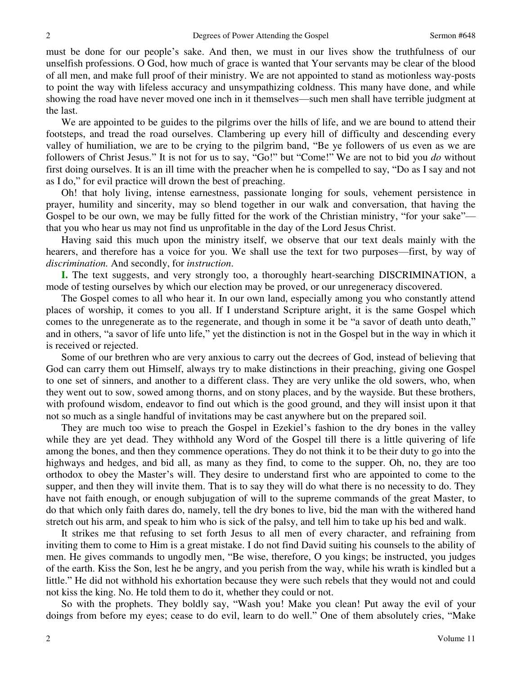must be done for our people's sake. And then, we must in our lives show the truthfulness of our unselfish professions. O God, how much of grace is wanted that Your servants may be clear of the blood of all men, and make full proof of their ministry. We are not appointed to stand as motionless way-posts to point the way with lifeless accuracy and unsympathizing coldness. This many have done, and while showing the road have never moved one inch in it themselves—such men shall have terrible judgment at the last.

 We are appointed to be guides to the pilgrims over the hills of life, and we are bound to attend their footsteps, and tread the road ourselves. Clambering up every hill of difficulty and descending every valley of humiliation, we are to be crying to the pilgrim band, "Be ye followers of us even as we are followers of Christ Jesus." It is not for us to say, "Go!" but "Come!" We are not to bid you *do* without first doing ourselves. It is an ill time with the preacher when he is compelled to say, "Do as I say and not as I do," for evil practice will drown the best of preaching.

 Oh! that holy living, intense earnestness, passionate longing for souls, vehement persistence in prayer, humility and sincerity, may so blend together in our walk and conversation, that having the Gospel to be our own, we may be fully fitted for the work of the Christian ministry, "for your sake" that you who hear us may not find us unprofitable in the day of the Lord Jesus Christ.

 Having said this much upon the ministry itself, we observe that our text deals mainly with the hearers, and therefore has a voice for you. We shall use the text for two purposes—first, by way of *discrimination.* And secondly, for *instruction*.

**I.** The text suggests, and very strongly too, a thoroughly heart-searching DISCRIMINATION, a mode of testing ourselves by which our election may be proved, or our unregeneracy discovered.

 The Gospel comes to all who hear it. In our own land, especially among you who constantly attend places of worship, it comes to you all. If I understand Scripture aright, it is the same Gospel which comes to the unregenerate as to the regenerate, and though in some it be "a savor of death unto death," and in others, "a savor of life unto life," yet the distinction is not in the Gospel but in the way in which it is received or rejected.

 Some of our brethren who are very anxious to carry out the decrees of God, instead of believing that God can carry them out Himself, always try to make distinctions in their preaching, giving one Gospel to one set of sinners, and another to a different class. They are very unlike the old sowers, who, when they went out to sow, sowed among thorns, and on stony places, and by the wayside. But these brothers, with profound wisdom, endeavor to find out which is the good ground, and they will insist upon it that not so much as a single handful of invitations may be cast anywhere but on the prepared soil.

 They are much too wise to preach the Gospel in Ezekiel's fashion to the dry bones in the valley while they are yet dead. They withhold any Word of the Gospel till there is a little quivering of life among the bones, and then they commence operations. They do not think it to be their duty to go into the highways and hedges, and bid all, as many as they find, to come to the supper. Oh, no, they are too orthodox to obey the Master's will. They desire to understand first who are appointed to come to the supper, and then they will invite them. That is to say they will do what there is no necessity to do. They have not faith enough, or enough subjugation of will to the supreme commands of the great Master, to do that which only faith dares do, namely, tell the dry bones to live, bid the man with the withered hand stretch out his arm, and speak to him who is sick of the palsy, and tell him to take up his bed and walk.

 It strikes me that refusing to set forth Jesus to all men of every character, and refraining from inviting them to come to Him is a great mistake. I do not find David suiting his counsels to the ability of men. He gives commands to ungodly men, "Be wise, therefore, O you kings; be instructed, you judges of the earth. Kiss the Son, lest he be angry, and you perish from the way, while his wrath is kindled but a little." He did not withhold his exhortation because they were such rebels that they would not and could not kiss the king. No. He told them to do it, whether they could or not.

 So with the prophets. They boldly say, "Wash you! Make you clean! Put away the evil of your doings from before my eyes; cease to do evil, learn to do well." One of them absolutely cries, "Make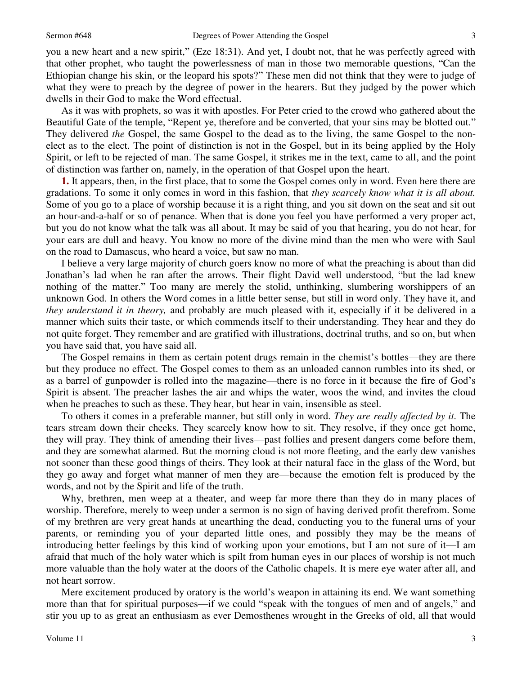3

you a new heart and a new spirit," (Eze 18:31). And yet, I doubt not, that he was perfectly agreed with that other prophet, who taught the powerlessness of man in those two memorable questions, "Can the Ethiopian change his skin, or the leopard his spots?" These men did not think that they were to judge of what they were to preach by the degree of power in the hearers. But they judged by the power which dwells in their God to make the Word effectual.

 As it was with prophets, so was it with apostles. For Peter cried to the crowd who gathered about the Beautiful Gate of the temple, "Repent ye, therefore and be converted, that your sins may be blotted out." They delivered *the* Gospel, the same Gospel to the dead as to the living, the same Gospel to the nonelect as to the elect. The point of distinction is not in the Gospel, but in its being applied by the Holy Spirit, or left to be rejected of man. The same Gospel, it strikes me in the text, came to all, and the point of distinction was farther on, namely, in the operation of that Gospel upon the heart.

**1.** It appears, then, in the first place, that to some the Gospel comes only in word. Even here there are gradations. To some it only comes in word in this fashion, that *they scarcely know what it is all about.* Some of you go to a place of worship because it is a right thing, and you sit down on the seat and sit out an hour-and-a-half or so of penance. When that is done you feel you have performed a very proper act, but you do not know what the talk was all about. It may be said of you that hearing, you do not hear, for your ears are dull and heavy. You know no more of the divine mind than the men who were with Saul on the road to Damascus, who heard a voice, but saw no man.

 I believe a very large majority of church goers know no more of what the preaching is about than did Jonathan's lad when he ran after the arrows. Their flight David well understood, "but the lad knew nothing of the matter." Too many are merely the stolid, unthinking, slumbering worshippers of an unknown God. In others the Word comes in a little better sense, but still in word only. They have it, and *they understand it in theory,* and probably are much pleased with it, especially if it be delivered in a manner which suits their taste, or which commends itself to their understanding. They hear and they do not quite forget. They remember and are gratified with illustrations, doctrinal truths, and so on, but when you have said that, you have said all.

 The Gospel remains in them as certain potent drugs remain in the chemist's bottles—they are there but they produce no effect. The Gospel comes to them as an unloaded cannon rumbles into its shed, or as a barrel of gunpowder is rolled into the magazine—there is no force in it because the fire of God's Spirit is absent. The preacher lashes the air and whips the water, woos the wind, and invites the cloud when he preaches to such as these. They hear, but hear in vain, insensible as steel.

 To others it comes in a preferable manner, but still only in word. *They are really affected by it.* The tears stream down their cheeks. They scarcely know how to sit. They resolve, if they once get home, they will pray. They think of amending their lives—past follies and present dangers come before them, and they are somewhat alarmed. But the morning cloud is not more fleeting, and the early dew vanishes not sooner than these good things of theirs. They look at their natural face in the glass of the Word, but they go away and forget what manner of men they are—because the emotion felt is produced by the words, and not by the Spirit and life of the truth.

 Why, brethren, men weep at a theater, and weep far more there than they do in many places of worship. Therefore, merely to weep under a sermon is no sign of having derived profit therefrom. Some of my brethren are very great hands at unearthing the dead, conducting you to the funeral urns of your parents, or reminding you of your departed little ones, and possibly they may be the means of introducing better feelings by this kind of working upon your emotions, but I am not sure of it—I am afraid that much of the holy water which is spilt from human eyes in our places of worship is not much more valuable than the holy water at the doors of the Catholic chapels. It is mere eye water after all, and not heart sorrow.

 Mere excitement produced by oratory is the world's weapon in attaining its end. We want something more than that for spiritual purposes—if we could "speak with the tongues of men and of angels," and stir you up to as great an enthusiasm as ever Demosthenes wrought in the Greeks of old, all that would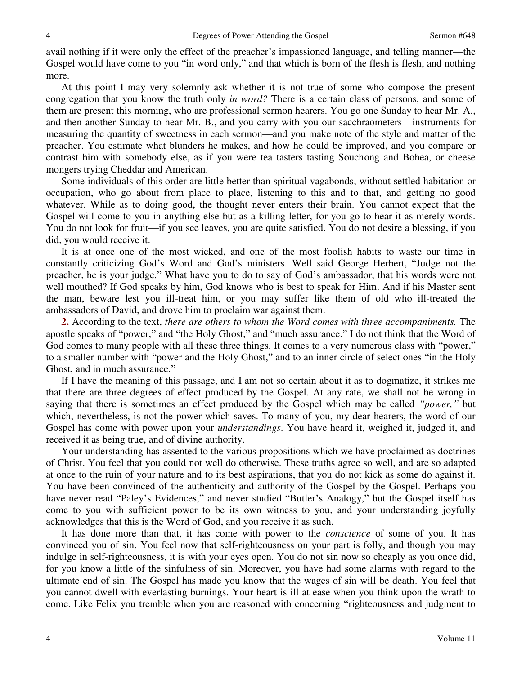avail nothing if it were only the effect of the preacher's impassioned language, and telling manner—the Gospel would have come to you "in word only," and that which is born of the flesh is flesh, and nothing more.

 At this point I may very solemnly ask whether it is not true of some who compose the present congregation that you know the truth only *in word?* There is a certain class of persons, and some of them are present this morning, who are professional sermon hearers. You go one Sunday to hear Mr. A., and then another Sunday to hear Mr. B., and you carry with you our sacchraometers—instruments for measuring the quantity of sweetness in each sermon—and you make note of the style and matter of the preacher. You estimate what blunders he makes, and how he could be improved, and you compare or contrast him with somebody else, as if you were tea tasters tasting Souchong and Bohea, or cheese mongers trying Cheddar and American.

 Some individuals of this order are little better than spiritual vagabonds, without settled habitation or occupation, who go about from place to place, listening to this and to that, and getting no good whatever. While as to doing good, the thought never enters their brain. You cannot expect that the Gospel will come to you in anything else but as a killing letter, for you go to hear it as merely words. You do not look for fruit—if you see leaves, you are quite satisfied. You do not desire a blessing, if you did, you would receive it.

 It is at once one of the most wicked, and one of the most foolish habits to waste our time in constantly criticizing God's Word and God's ministers. Well said George Herbert, "Judge not the preacher, he is your judge." What have you to do to say of God's ambassador, that his words were not well mouthed? If God speaks by him, God knows who is best to speak for Him. And if his Master sent the man, beware lest you ill-treat him, or you may suffer like them of old who ill-treated the ambassadors of David, and drove him to proclaim war against them.

**2.** According to the text, *there are others to whom the Word comes with three accompaniments.* The apostle speaks of "power," and "the Holy Ghost," and "much assurance." I do not think that the Word of God comes to many people with all these three things. It comes to a very numerous class with "power," to a smaller number with "power and the Holy Ghost," and to an inner circle of select ones "in the Holy Ghost, and in much assurance."

 If I have the meaning of this passage, and I am not so certain about it as to dogmatize, it strikes me that there are three degrees of effect produced by the Gospel. At any rate, we shall not be wrong in saying that there is sometimes an effect produced by the Gospel which may be called *"power,"* but which, nevertheless, is not the power which saves. To many of you, my dear hearers, the word of our Gospel has come with power upon your *understandings*. You have heard it, weighed it, judged it, and received it as being true, and of divine authority.

 Your understanding has assented to the various propositions which we have proclaimed as doctrines of Christ. You feel that you could not well do otherwise. These truths agree so well, and are so adapted at once to the ruin of your nature and to its best aspirations, that you do not kick as some do against it. You have been convinced of the authenticity and authority of the Gospel by the Gospel. Perhaps you have never read "Paley's Evidences," and never studied "Butler's Analogy," but the Gospel itself has come to you with sufficient power to be its own witness to you, and your understanding joyfully acknowledges that this is the Word of God, and you receive it as such.

 It has done more than that, it has come with power to the *conscience* of some of you. It has convinced you of sin. You feel now that self-righteousness on your part is folly, and though you may indulge in self-righteousness, it is with your eyes open. You do not sin now so cheaply as you once did, for you know a little of the sinfulness of sin. Moreover, you have had some alarms with regard to the ultimate end of sin. The Gospel has made you know that the wages of sin will be death. You feel that you cannot dwell with everlasting burnings. Your heart is ill at ease when you think upon the wrath to come. Like Felix you tremble when you are reasoned with concerning "righteousness and judgment to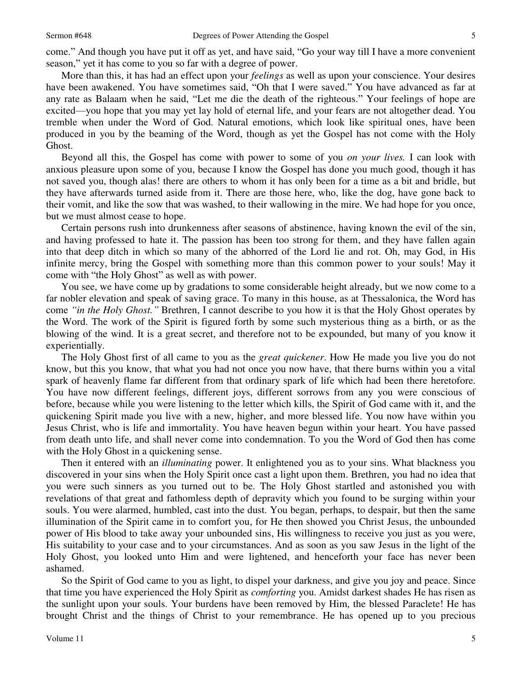come." And though you have put it off as yet, and have said, "Go your way till I have a more convenient season," yet it has come to you so far with a degree of power.

 More than this, it has had an effect upon your *feelings* as well as upon your conscience. Your desires have been awakened. You have sometimes said, "Oh that I were saved." You have advanced as far at any rate as Balaam when he said, "Let me die the death of the righteous." Your feelings of hope are excited—you hope that you may yet lay hold of eternal life, and your fears are not altogether dead. You tremble when under the Word of God. Natural emotions, which look like spiritual ones, have been produced in you by the beaming of the Word, though as yet the Gospel has not come with the Holy Ghost.

 Beyond all this, the Gospel has come with power to some of you *on your lives.* I can look with anxious pleasure upon some of you, because I know the Gospel has done you much good, though it has not saved you, though alas! there are others to whom it has only been for a time as a bit and bridle, but they have afterwards turned aside from it. There are those here, who, like the dog, have gone back to their vomit, and like the sow that was washed, to their wallowing in the mire. We had hope for you once, but we must almost cease to hope.

 Certain persons rush into drunkenness after seasons of abstinence, having known the evil of the sin, and having professed to hate it. The passion has been too strong for them, and they have fallen again into that deep ditch in which so many of the abhorred of the Lord lie and rot. Oh, may God, in His infinite mercy, bring the Gospel with something more than this common power to your souls! May it come with "the Holy Ghost" as well as with power.

 You see, we have come up by gradations to some considerable height already, but we now come to a far nobler elevation and speak of saving grace. To many in this house, as at Thessalonica, the Word has come *"in the Holy Ghost."* Brethren, I cannot describe to you how it is that the Holy Ghost operates by the Word. The work of the Spirit is figured forth by some such mysterious thing as a birth, or as the blowing of the wind. It is a great secret, and therefore not to be expounded, but many of you know it experientially.

 The Holy Ghost first of all came to you as the *great quickener*. How He made you live you do not know, but this you know, that what you had not once you now have, that there burns within you a vital spark of heavenly flame far different from that ordinary spark of life which had been there heretofore. You have now different feelings, different joys, different sorrows from any you were conscious of before, because while you were listening to the letter which kills, the Spirit of God came with it, and the quickening Spirit made you live with a new, higher, and more blessed life. You now have within you Jesus Christ, who is life and immortality. You have heaven begun within your heart. You have passed from death unto life, and shall never come into condemnation. To you the Word of God then has come with the Holy Ghost in a quickening sense.

 Then it entered with an *illuminating* power. It enlightened you as to your sins. What blackness you discovered in your sins when the Holy Spirit once cast a light upon them. Brethren, you had no idea that you were such sinners as you turned out to be. The Holy Ghost startled and astonished you with revelations of that great and fathomless depth of depravity which you found to be surging within your souls. You were alarmed, humbled, cast into the dust. You began, perhaps, to despair, but then the same illumination of the Spirit came in to comfort you, for He then showed you Christ Jesus, the unbounded power of His blood to take away your unbounded sins, His willingness to receive you just as you were, His suitability to your case and to your circumstances. And as soon as you saw Jesus in the light of the Holy Ghost, you looked unto Him and were lightened, and henceforth your face has never been ashamed.

 So the Spirit of God came to you as light, to dispel your darkness, and give you joy and peace. Since that time you have experienced the Holy Spirit as *comforting* you. Amidst darkest shades He has risen as the sunlight upon your souls. Your burdens have been removed by Him, the blessed Paraclete! He has brought Christ and the things of Christ to your remembrance. He has opened up to you precious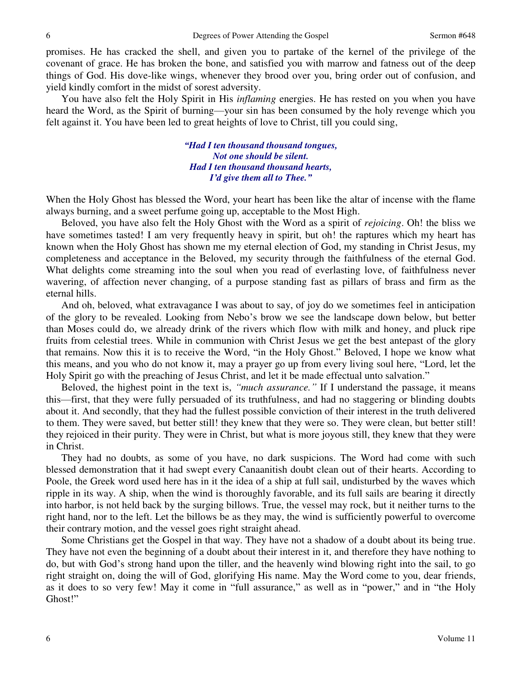promises. He has cracked the shell, and given you to partake of the kernel of the privilege of the covenant of grace. He has broken the bone, and satisfied you with marrow and fatness out of the deep things of God. His dove-like wings, whenever they brood over you, bring order out of confusion, and yield kindly comfort in the midst of sorest adversity.

 You have also felt the Holy Spirit in His *inflaming* energies. He has rested on you when you have heard the Word, as the Spirit of burning—your sin has been consumed by the holy revenge which you felt against it. You have been led to great heights of love to Christ, till you could sing,

> *"Had I ten thousand thousand tongues, Not one should be silent. Had I ten thousand thousand hearts, I'd give them all to Thee."*

When the Holy Ghost has blessed the Word, your heart has been like the altar of incense with the flame always burning, and a sweet perfume going up, acceptable to the Most High.

 Beloved, you have also felt the Holy Ghost with the Word as a spirit of *rejoicing*. Oh! the bliss we have sometimes tasted! I am very frequently heavy in spirit, but oh! the raptures which my heart has known when the Holy Ghost has shown me my eternal election of God, my standing in Christ Jesus, my completeness and acceptance in the Beloved, my security through the faithfulness of the eternal God. What delights come streaming into the soul when you read of everlasting love, of faithfulness never wavering, of affection never changing, of a purpose standing fast as pillars of brass and firm as the eternal hills.

 And oh, beloved, what extravagance I was about to say, of joy do we sometimes feel in anticipation of the glory to be revealed. Looking from Nebo's brow we see the landscape down below, but better than Moses could do, we already drink of the rivers which flow with milk and honey, and pluck ripe fruits from celestial trees. While in communion with Christ Jesus we get the best antepast of the glory that remains. Now this it is to receive the Word, "in the Holy Ghost." Beloved, I hope we know what this means, and you who do not know it, may a prayer go up from every living soul here, "Lord, let the Holy Spirit go with the preaching of Jesus Christ, and let it be made effectual unto salvation."

 Beloved, the highest point in the text is, *"much assurance."* If I understand the passage, it means this—first, that they were fully persuaded of its truthfulness, and had no staggering or blinding doubts about it. And secondly, that they had the fullest possible conviction of their interest in the truth delivered to them. They were saved, but better still! they knew that they were so. They were clean, but better still! they rejoiced in their purity. They were in Christ, but what is more joyous still, they knew that they were in Christ.

 They had no doubts, as some of you have, no dark suspicions. The Word had come with such blessed demonstration that it had swept every Canaanitish doubt clean out of their hearts. According to Poole, the Greek word used here has in it the idea of a ship at full sail, undisturbed by the waves which ripple in its way. A ship, when the wind is thoroughly favorable, and its full sails are bearing it directly into harbor, is not held back by the surging billows. True, the vessel may rock, but it neither turns to the right hand, nor to the left. Let the billows be as they may, the wind is sufficiently powerful to overcome their contrary motion, and the vessel goes right straight ahead.

 Some Christians get the Gospel in that way. They have not a shadow of a doubt about its being true. They have not even the beginning of a doubt about their interest in it, and therefore they have nothing to do, but with God's strong hand upon the tiller, and the heavenly wind blowing right into the sail, to go right straight on, doing the will of God, glorifying His name. May the Word come to you, dear friends, as it does to so very few! May it come in "full assurance," as well as in "power," and in "the Holy Ghost!"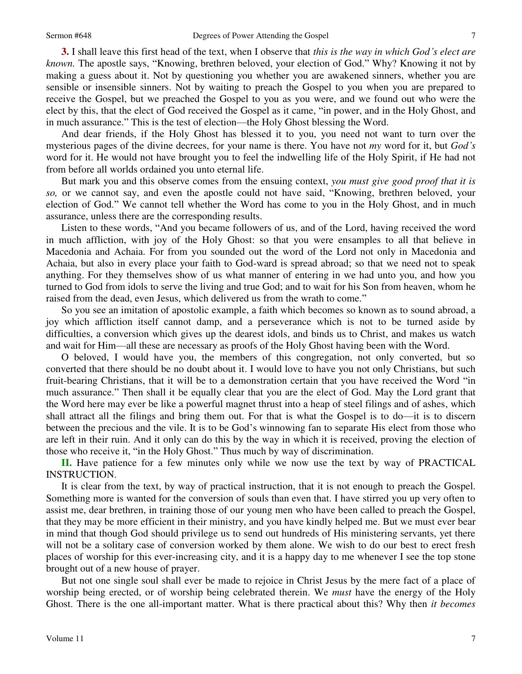**3.** I shall leave this first head of the text, when I observe that *this is the way in which God's elect are known.* The apostle says, "Knowing, brethren beloved, your election of God." Why? Knowing it not by making a guess about it. Not by questioning you whether you are awakened sinners, whether you are sensible or insensible sinners. Not by waiting to preach the Gospel to you when you are prepared to receive the Gospel, but we preached the Gospel to you as you were, and we found out who were the elect by this, that the elect of God received the Gospel as it came, "in power, and in the Holy Ghost, and in much assurance." This is the test of election—the Holy Ghost blessing the Word.

 And dear friends, if the Holy Ghost has blessed it to you, you need not want to turn over the mysterious pages of the divine decrees, for your name is there. You have not *my* word for it, but *God's* word for it. He would not have brought you to feel the indwelling life of the Holy Spirit, if He had not from before all worlds ordained you unto eternal life.

 But mark you and this observe comes from the ensuing context, *you must give good proof that it is so,* or we cannot say, and even the apostle could not have said, "Knowing, brethren beloved, your election of God." We cannot tell whether the Word has come to you in the Holy Ghost, and in much assurance, unless there are the corresponding results.

 Listen to these words, "And you became followers of us, and of the Lord, having received the word in much affliction, with joy of the Holy Ghost: so that you were ensamples to all that believe in Macedonia and Achaia. For from you sounded out the word of the Lord not only in Macedonia and Achaia, but also in every place your faith to God-ward is spread abroad; so that we need not to speak anything. For they themselves show of us what manner of entering in we had unto you, and how you turned to God from idols to serve the living and true God; and to wait for his Son from heaven, whom he raised from the dead, even Jesus, which delivered us from the wrath to come."

 So you see an imitation of apostolic example, a faith which becomes so known as to sound abroad, a joy which affliction itself cannot damp, and a perseverance which is not to be turned aside by difficulties, a conversion which gives up the dearest idols, and binds us to Christ, and makes us watch and wait for Him—all these are necessary as proofs of the Holy Ghost having been with the Word.

O beloved, I would have you, the members of this congregation, not only converted, but so converted that there should be no doubt about it. I would love to have you not only Christians, but such fruit-bearing Christians, that it will be to a demonstration certain that you have received the Word "in much assurance." Then shall it be equally clear that you are the elect of God. May the Lord grant that the Word here may ever be like a powerful magnet thrust into a heap of steel filings and of ashes, which shall attract all the filings and bring them out. For that is what the Gospel is to do—it is to discern between the precious and the vile. It is to be God's winnowing fan to separate His elect from those who are left in their ruin. And it only can do this by the way in which it is received, proving the election of those who receive it, "in the Holy Ghost." Thus much by way of discrimination.

**II.** Have patience for a few minutes only while we now use the text by way of PRACTICAL INSTRUCTION.

 It is clear from the text, by way of practical instruction, that it is not enough to preach the Gospel. Something more is wanted for the conversion of souls than even that. I have stirred you up very often to assist me, dear brethren, in training those of our young men who have been called to preach the Gospel, that they may be more efficient in their ministry, and you have kindly helped me. But we must ever bear in mind that though God should privilege us to send out hundreds of His ministering servants, yet there will not be a solitary case of conversion worked by them alone. We wish to do our best to erect fresh places of worship for this ever-increasing city, and it is a happy day to me whenever I see the top stone brought out of a new house of prayer.

 But not one single soul shall ever be made to rejoice in Christ Jesus by the mere fact of a place of worship being erected, or of worship being celebrated therein. We *must* have the energy of the Holy Ghost. There is the one all-important matter. What is there practical about this? Why then *it becomes*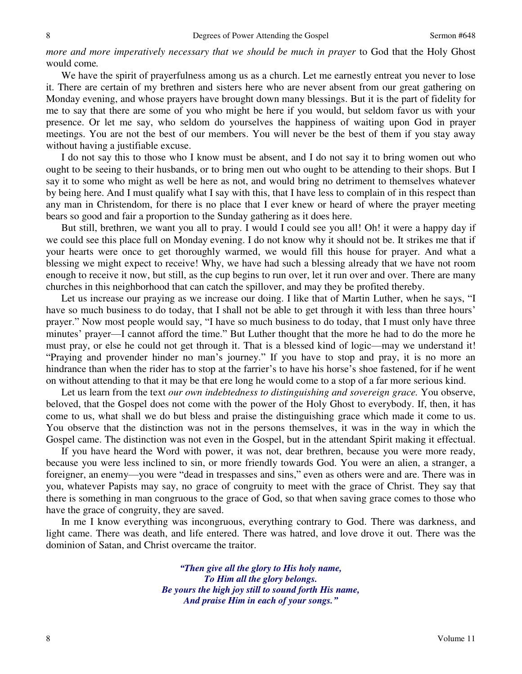*more and more imperatively necessary that we should be much in prayer* to God that the Holy Ghost would come*.* 

We have the spirit of prayerfulness among us as a church. Let me earnestly entreat you never to lose it. There are certain of my brethren and sisters here who are never absent from our great gathering on Monday evening, and whose prayers have brought down many blessings. But it is the part of fidelity for me to say that there are some of you who might be here if you would, but seldom favor us with your presence. Or let me say, who seldom do yourselves the happiness of waiting upon God in prayer meetings. You are not the best of our members. You will never be the best of them if you stay away without having a justifiable excuse.

 I do not say this to those who I know must be absent, and I do not say it to bring women out who ought to be seeing to their husbands, or to bring men out who ought to be attending to their shops. But I say it to some who might as well be here as not, and would bring no detriment to themselves whatever by being here. And I must qualify what I say with this, that I have less to complain of in this respect than any man in Christendom, for there is no place that I ever knew or heard of where the prayer meeting bears so good and fair a proportion to the Sunday gathering as it does here.

 But still, brethren, we want you all to pray. I would I could see you all! Oh! it were a happy day if we could see this place full on Monday evening. I do not know why it should not be. It strikes me that if your hearts were once to get thoroughly warmed, we would fill this house for prayer. And what a blessing we might expect to receive! Why, we have had such a blessing already that we have not room enough to receive it now, but still, as the cup begins to run over, let it run over and over. There are many churches in this neighborhood that can catch the spillover, and may they be profited thereby.

 Let us increase our praying as we increase our doing. I like that of Martin Luther, when he says, "I have so much business to do today, that I shall not be able to get through it with less than three hours' prayer." Now most people would say, "I have so much business to do today, that I must only have three minutes' prayer—I cannot afford the time." But Luther thought that the more he had to do the more he must pray, or else he could not get through it. That is a blessed kind of logic—may we understand it! "Praying and provender hinder no man's journey." If you have to stop and pray, it is no more an hindrance than when the rider has to stop at the farrier's to have his horse's shoe fastened, for if he went on without attending to that it may be that ere long he would come to a stop of a far more serious kind.

 Let us learn from the text *our own indebtedness to distinguishing and sovereign grace.* You observe, beloved, that the Gospel does not come with the power of the Holy Ghost to everybody. If, then, it has come to us, what shall we do but bless and praise the distinguishing grace which made it come to us. You observe that the distinction was not in the persons themselves, it was in the way in which the Gospel came. The distinction was not even in the Gospel, but in the attendant Spirit making it effectual.

 If you have heard the Word with power, it was not, dear brethren, because you were more ready, because you were less inclined to sin, or more friendly towards God. You were an alien, a stranger, a foreigner, an enemy—you were "dead in trespasses and sins," even as others were and are. There was in you, whatever Papists may say, no grace of congruity to meet with the grace of Christ. They say that there is something in man congruous to the grace of God, so that when saving grace comes to those who have the grace of congruity, they are saved.

 In me I know everything was incongruous, everything contrary to God. There was darkness, and light came. There was death, and life entered. There was hatred, and love drove it out. There was the dominion of Satan, and Christ overcame the traitor.

> *"Then give all the glory to His holy name, To Him all the glory belongs. Be yours the high joy still to sound forth His name, And praise Him in each of your songs."*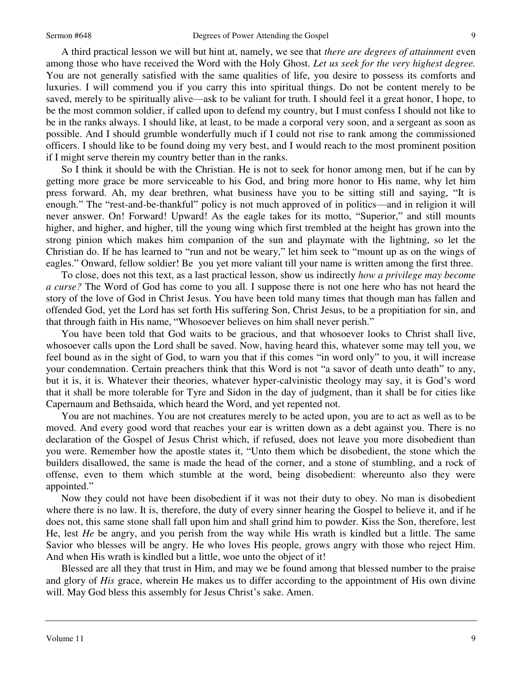9

A third practical lesson we will but hint at, namely, we see that *there are degrees of attainment* even among those who have received the Word with the Holy Ghost. *Let us seek for the very highest degree.* You are not generally satisfied with the same qualities of life, you desire to possess its comforts and luxuries. I will commend you if you carry this into spiritual things. Do not be content merely to be saved, merely to be spiritually alive—ask to be valiant for truth. I should feel it a great honor, I hope, to be the most common soldier, if called upon to defend my country, but I must confess I should not like to be in the ranks always. I should like, at least, to be made a corporal very soon, and a sergeant as soon as possible. And I should grumble wonderfully much if I could not rise to rank among the commissioned officers. I should like to be found doing my very best, and I would reach to the most prominent position if I might serve therein my country better than in the ranks.

 So I think it should be with the Christian. He is not to seek for honor among men, but if he can by getting more grace be more serviceable to his God, and bring more honor to His name, why let him press forward. Ah, my dear brethren, what business have you to be sitting still and saying, "It is enough." The "rest-and-be-thankful" policy is not much approved of in politics—and in religion it will never answer. On! Forward! Upward! As the eagle takes for its motto, "Superior," and still mounts higher, and higher, and higher, till the young wing which first trembled at the height has grown into the strong pinion which makes him companion of the sun and playmate with the lightning, so let the Christian do. If he has learned to "run and not be weary," let him seek to "mount up as on the wings of eagles." Onward, fellow soldier! Be you yet more valiant till your name is written among the first three.

 To close, does not this text, as a last practical lesson, show us indirectly *how a privilege may become a curse?* The Word of God has come to you all. I suppose there is not one here who has not heard the story of the love of God in Christ Jesus. You have been told many times that though man has fallen and offended God, yet the Lord has set forth His suffering Son, Christ Jesus, to be a propitiation for sin, and that through faith in His name, "Whosoever believes on him shall never perish."

 You have been told that God waits to be gracious, and that whosoever looks to Christ shall live, whosoever calls upon the Lord shall be saved. Now, having heard this, whatever some may tell you, we feel bound as in the sight of God, to warn you that if this comes "in word only" to you, it will increase your condemnation. Certain preachers think that this Word is not "a savor of death unto death" to any, but it is, it is. Whatever their theories, whatever hyper-calvinistic theology may say, it is God's word that it shall be more tolerable for Tyre and Sidon in the day of judgment, than it shall be for cities like Capernaum and Bethsaida, which heard the Word, and yet repented not.

 You are not machines. You are not creatures merely to be acted upon, you are to act as well as to be moved. And every good word that reaches your ear is written down as a debt against you. There is no declaration of the Gospel of Jesus Christ which, if refused, does not leave you more disobedient than you were. Remember how the apostle states it, "Unto them which be disobedient, the stone which the builders disallowed, the same is made the head of the corner, and a stone of stumbling, and a rock of offense, even to them which stumble at the word, being disobedient: whereunto also they were appointed."

 Now they could not have been disobedient if it was not their duty to obey. No man is disobedient where there is no law. It is, therefore, the duty of every sinner hearing the Gospel to believe it, and if he does not, this same stone shall fall upon him and shall grind him to powder. Kiss the Son, therefore, lest He, lest *He* be angry, and you perish from the way while His wrath is kindled but a little. The same Savior who blesses will be angry. He who loves His people, grows angry with those who reject Him. And when His wrath is kindled but a little, woe unto the object of it!

 Blessed are all they that trust in Him, and may we be found among that blessed number to the praise and glory of *His* grace, wherein He makes us to differ according to the appointment of His own divine will. May God bless this assembly for Jesus Christ's sake. Amen.